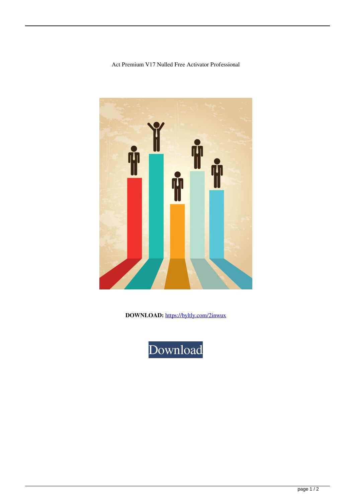



**DOWNLOAD:** <https://byltly.com/2inwux>